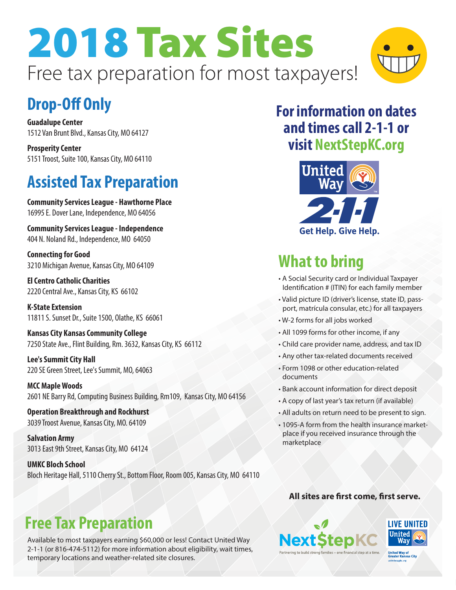# 2018 Tax Sites Free tax preparation for most taxpayers!



# **Drop-Off Only**

**Guadalupe Center** 1512 Van Brunt Blvd., Kansas City, MO 64127

**Prosperity Center** 5151 Troost, Suite 100, Kansas City, MO 64110

# **Assisted Tax Preparation**

**Community Services League - Hawthorne Place** 16995 E. Dover Lane, Independence, MO 64056

**Community Services League - Independence** 404 N. Noland Rd., Independence, MO 64050

**Connecting for Good** 3210 Michigan Avenue, Kansas City, MO 64109

**El Centro Catholic Charities** 2220 Central Ave., Kansas City, KS 66102

**K-State Extension** 11811 S. Sunset Dr., Suite 1500, Olathe, KS 66061

**Kansas City Kansas Community College** 7250 State Ave., Flint Building, Rm. 3632, Kansas City, KS 66112

**Lee's Summit City Hall** 220 SE Green Street, Lee's Summit, MO, 64063

**MCC Maple Woods** 2601 NE Barry Rd, Computing Business Building, Rm109, Kansas City, MO 64156

**Operation Breakthrough and Rockhurst** 3039 Troost Avenue, Kansas City, MO. 64109

**Salvation Army** 3013 East 9th Street, Kansas City, MO 64124

**UMKC Bloch School** Bloch Heritage Hall, 5110 Cherry St., Bottom Floor, Room 005, Kansas City, MO 64110

#### **For information on dates and times call 2-1-1 or visit NextStepKC.org**



# **What to bring**

- A Social Security card or Individual Taxpayer Identification # (ITIN) for each family member
- Valid picture ID (driver's license, state ID, passport, matrícula consular, etc.) for all taxpayers
- W-2 forms for all jobs worked
- All 1099 forms for other income, if any
- Child care provider name, address, and tax ID
- Any other tax-related documents received
- Form 1098 or other education-related documents
- Bank account information for direct deposit
- A copy of last year's tax return (if available)
- All adults on return need to be present to sign.
- 1095-A form from the health insurance marketplace if you received insurance through the marketplace

#### **All sites are first come, first serve.**





#### **Free Tax Preparation**

Available to most taxpayers earning \$60,000 or less! Contact United Way 2-1-1 (or 816-474-5112) for more information about eligibility, wait times, temporary locations and weather-related site closures.